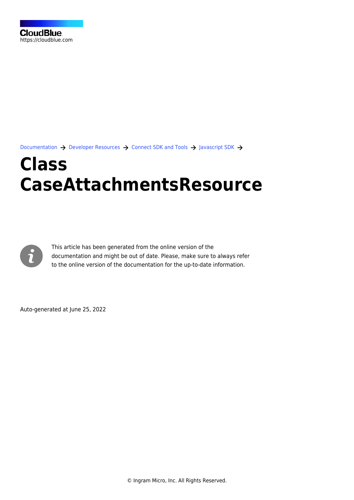[Documentation](https://connect.cloudblue.com/documentation)  $\rightarrow$  [Developer Resources](https://connect.cloudblue.com/community/developers/)  $\rightarrow$  [Connect SDK and Tools](https://connect.cloudblue.com/community/developers/sdk/)  $\rightarrow$  [Javascript SDK](https://connect.cloudblue.com/community/developers/sdk/javascript-sdk/)  $\rightarrow$ 

# **[Class](https://connect.cloudblue.com/community/developers/sdk/javascript-sdk/class-caseattachmentsresource/) [CaseAttachmentsResource](https://connect.cloudblue.com/community/developers/sdk/javascript-sdk/class-caseattachmentsresource/)**



This article has been generated from the online version of the documentation and might be out of date. Please, make sure to always refer to the online version of the documentation for the up-to-date information.

Auto-generated at June 25, 2022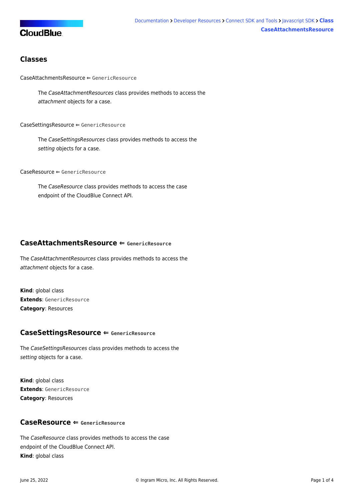# **CloudBlue**

# **Classes**

[CaseAttachmentsResource](#page-1-0) ⇐ GenericResource

The CaseAttachmentResources class provides methods to access the attachment objects for a case.

#### [CaseSettingsResource](#page-1-1) ⇐ GenericResource

The CaseSettingsResources class provides methods to access the setting objects for a case.

[CaseResource](#page-1-2) ⇐ GenericResource

The CaseResource class provides methods to access the case endpoint of the CloudBlue Connect API.

# <span id="page-1-0"></span>**CaseAttachmentsResource ⇐ GenericResource**

The CaseAttachmentResources class provides methods to access the attachment objects for a case.

**Kind**: global class **Extends**: GenericResource **Category**: Resources

### <span id="page-1-1"></span>**CaseSettingsResource ⇐ GenericResource**

The CaseSettingsResources class provides methods to access the setting objects for a case.

**Kind**: global class **Extends**: GenericResource **Category**: Resources

# <span id="page-1-2"></span>**CaseResource ⇐ GenericResource**

The CaseResource class provides methods to access the case endpoint of the CloudBlue Connect API. **Kind**: global class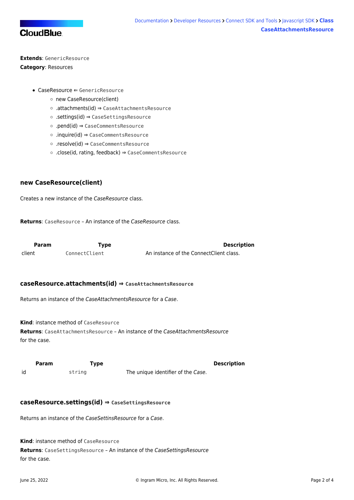

**Extends**: GenericResource **Category**: Resources

- [CaseResource](#page-1-2) ⇐ GenericResource
	- o [new CaseResource\(client\)](#page-2-0)
	- [.attachments\(id\)](#page-2-1) ⇒ [CaseAttachmentsResource](#page-1-0)
	- [.settings\(id\)](#page-2-2) ⇒ [CaseSettingsResource](#page-1-1)
	- [.pend\(id\)](#page-3-0) ⇒ CaseCommentsResource
	- [.inquire\(id\)](#page-3-1) ⇒ CaseCommentsResource
	- [.resolve\(id\)](#page-3-2) ⇒ CaseCommentsResource
	- [.close\(id, rating, feedback\)](#page-3-3) ⇒ CaseCommentsResource

### <span id="page-2-0"></span>**new CaseResource(client)**

Creates a new instance of the CaseResource class.

**Returns**: [CaseResource](#page-1-2) – An instance of the CaseResource class.

<span id="page-2-1"></span>

| Param  | Type          | <b>Description</b>                      |
|--------|---------------|-----------------------------------------|
| client | ConnectClient | An instance of the ConnectClient class. |

#### **caseResource.attachments(id) ⇒ [CaseAttachmentsResource](#page-1-0)**

Returns an instance of the CaseAttachmentsResource for a Case.

**Kind**: instance method of [CaseResource](#page-1-2)

**Returns**: [CaseAttachmentsResource](#page-1-0) – An instance of the CaseAttachmentsResource for the case.

<span id="page-2-2"></span>

|    | Param | Type   |                                    | <b>Description</b> |
|----|-------|--------|------------------------------------|--------------------|
| id |       | string | The unique identifier of the Case. |                    |

#### **caseResource.settings(id) ⇒ [CaseSettingsResource](#page-1-1)**

Returns an instance of the CaseSettinsResource for a Case.

**Kind**: instance method of [CaseResource](#page-1-2)

**Returns**: [CaseSettingsResource](#page-1-1) – An instance of the CaseSettingsResource for the case.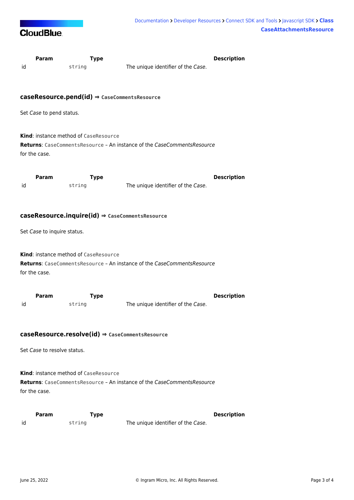

<span id="page-3-3"></span><span id="page-3-2"></span><span id="page-3-1"></span><span id="page-3-0"></span>

| id                                                                                                                                | Param                       | <b>Type</b><br>string                        | The unique identifier of the Case.                                      | <b>Description</b> |  |  |  |
|-----------------------------------------------------------------------------------------------------------------------------------|-----------------------------|----------------------------------------------|-------------------------------------------------------------------------|--------------------|--|--|--|
| $caseResource.pend(id) \Rightarrow$ CaseCommentsResource                                                                          |                             |                                              |                                                                         |                    |  |  |  |
| Set Case to pend status.                                                                                                          |                             |                                              |                                                                         |                    |  |  |  |
|                                                                                                                                   | for the case.               | <b>Kind:</b> instance method of CaseResource | Returns: CaseCommentsResource - An instance of the CaseCommentsResource |                    |  |  |  |
| id                                                                                                                                | Param                       | <b>Type</b><br>string                        | The unique identifier of the Case.                                      | <b>Description</b> |  |  |  |
| $caseResource.inquire(id) \Rightarrow$ CaseCommentsResource<br>Set Case to inquire status.                                        |                             |                                              |                                                                         |                    |  |  |  |
| Kind: instance method of CaseResource<br>Returns: CaseCommentsResource - An instance of the CaseCommentsResource<br>for the case. |                             |                                              |                                                                         |                    |  |  |  |
| id                                                                                                                                | Param                       | <b>Type</b><br>string                        | The unique identifier of the Case.                                      | <b>Description</b> |  |  |  |
| $caseResource.read) \Rightarrow$ CaseCommentsResource                                                                             |                             |                                              |                                                                         |                    |  |  |  |
|                                                                                                                                   | Set Case to resolve status. |                                              |                                                                         |                    |  |  |  |
|                                                                                                                                   | for the case.               | <b>Kind:</b> instance method of CaseResource | Returns: CaseCommentsResource - An instance of the CaseCommentsResource |                    |  |  |  |
| id                                                                                                                                | Param                       | <b>Type</b><br>string                        | The unique identifier of the Case.                                      | <b>Description</b> |  |  |  |